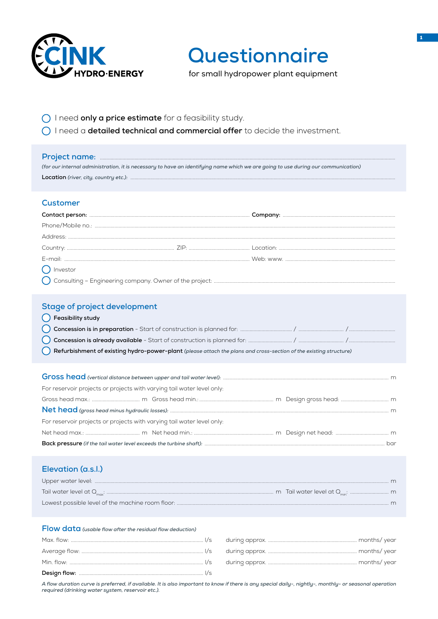

# Questionnaire

for small hydropower plant equipment

- O I need only a price estimate for a feasibility study.
- O I need a detailed technical and commercial offer to decide the investment.

| (for our internal administration, it is necessary to have an identifying name which we are going to use during our communication)                                                |  |  |  |  |  |  |
|----------------------------------------------------------------------------------------------------------------------------------------------------------------------------------|--|--|--|--|--|--|
| <b>Customer</b><br>$\left( \quad \right)$ Investor                                                                                                                               |  |  |  |  |  |  |
| <b>Stage of project development</b><br>() Feasibility study<br>Refurbishment of existing hydro-power-plant (please attach the plans and cross-section of the existing structure) |  |  |  |  |  |  |
| For reservoir projects or projects with varying tail water level only:<br>For reservoir projects or projects with varying tail water level only:                                 |  |  |  |  |  |  |
| Elevation (a.s.l.)<br>Flow data (usable flow after the residual flow deduction)                                                                                                  |  |  |  |  |  |  |

#### 

A flow duration curve is preferred, if available. It is also important to know if there is any special daily-, nightly-, monthly- or seasonal operation required (drinking water system, reservoir etc.).